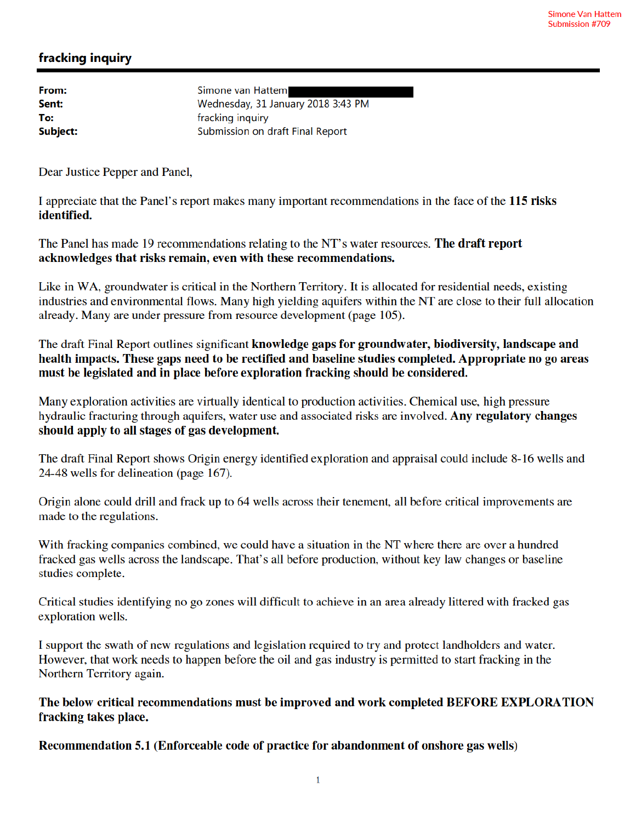## fracking inquiry

From: Sent: To: Subject: Simone van Hattem Wednesday, 31 January 2018 3:43 PM fracking inquiry Submission on draft Final Report

Dear Justice Pepper and Panel,

I appreciate that the Panel's report makes many important recommendations in the face of the 115 risks identified.

The Panel has made 19 recommendations relating to the NT's water resources. The draft report acknowledges that risks remain, even with these recommendations.

Like in WA, groundwater is critical in the Northern Territory. It is allocated for residential needs, existing industries and environmental flows. Many high yielding aquifers within the NT are close to their full allocation already. Many are under pressure from resource development (page 105).

The draft Final Report outlines significant knowledge gaps for groundwater, biodiversity, landscape and health impacts. These gaps need to be rectified and baseline studies completed. Appropriate no go areas must be legislated and in place before exploration fracking should be considered.

Many exploration activities are virtually identical to production activities. Chemical use, high pressure hydraulic fracturing through aquifers, water use and associated risks are involved. Any regulatory changes should apply to all stages of gas development.

The draft Final Report shows Origin energy identified exploration and appraisal could include 8-16 wells and 24-48 wells for delineation (page 167).

Origin alone could drill and frack up to 64 wells across their tenement, all before critical improvements are made to the regulations.

With fracking companies combined, we could have a situation in the NT where there are over a hundred fracked gas wells across the landscape. That's all before production, without key law changes or baseline studies complete.

Critical studies identifying no go zones will difficult to achieve in an area already littered with fracked gas exploration wells.

I support the swath of new regulations and legislation required to try and protect landholders and water. However, that work needs to happen before the oil and gas industry is permitted to start fracking in the Northern Territory again.

The below critical recommendations must be improved and work completed BEFORE EXPLORATION fracking takes place.

Recommendation 5.1 (Enforceable code of practice for abandonment of onshore gas wells)